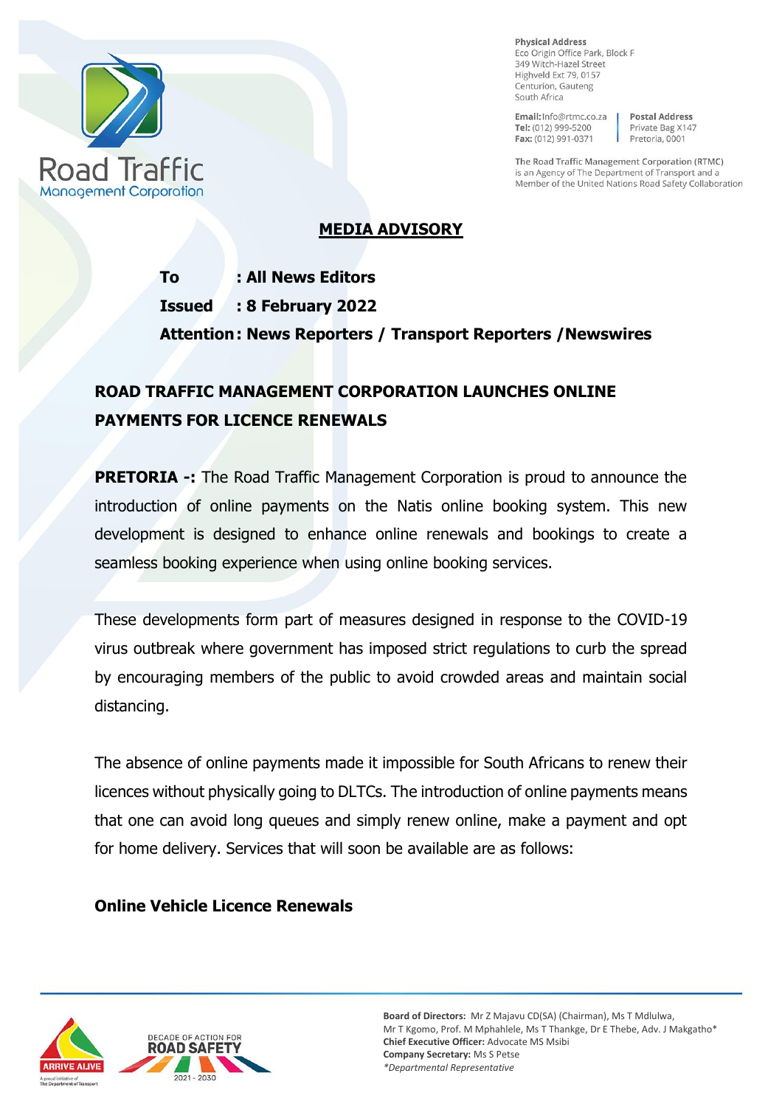

**Physical Address** Eco Origin Office Park, Block F 349 Witch-Hazel Street Highveld Ext 79, 0157 Centurion, Gauteng South Africa

Email: Info@rtmc.co.za Tel: (012) 999-5200 Fax: (012) 991-0371

**Postal Address** Private Bag X147 Pretoria, 0001

The Road Traffic Management Corporation (RTMC) is an Agency of The Department of Transport and a Member of the United Nations Road Safety Collaboration

### **MEDIA ADVISORY**

**To : All News Editors Issued : 8 February 2022 Attention: News Reporters / Transport Reporters /Newswires** 

# **ROAD TRAFFIC MANAGEMENT CORPORATION LAUNCHES ONLINE PAYMENTS FOR LICENCE RENEWALS**

**PRETORIA -:** The Road Traffic Management Corporation is proud to announce the introduction of online payments on the Natis online booking system. This new development is designed to enhance online renewals and bookings to create a seamless booking experience when using online booking services.

These developments form part of measures designed in response to the COVID-19 virus outbreak where government has imposed strict regulations to curb the spread by encouraging members of the public to avoid crowded areas and maintain social distancing.

The absence of online payments made it impossible for South Africans to renew their licences without physically going to DLTCs. The introduction of online payments means that one can avoid long queues and simply renew online, make a payment and opt for home delivery. Services that will soon be available are as follows:

#### **Online Vehicle Licence Renewals**



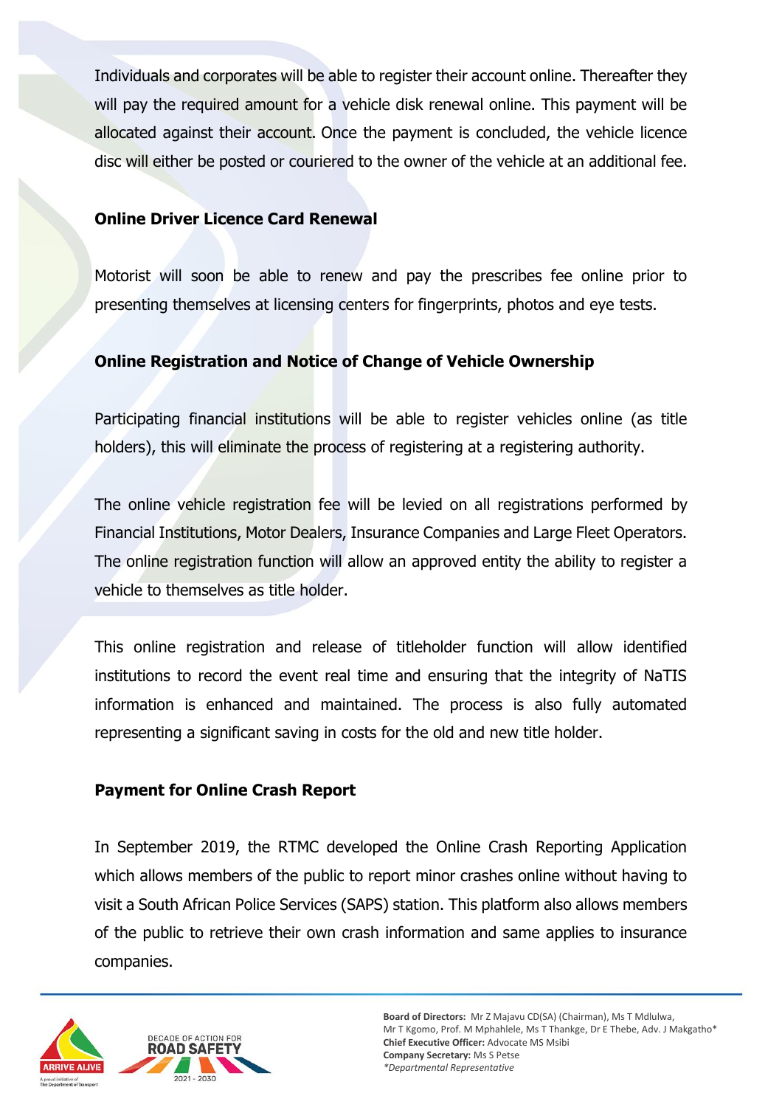Individuals and corporates will be able to register their account online. Thereafter they will pay the required amount for a vehicle disk renewal online. This payment will be allocated against their account. Once the payment is concluded, the vehicle licence disc will either be posted or couriered to the owner of the vehicle at an additional fee.

#### **Online Driver Licence Card Renewal**

Motorist will soon be able to renew and pay the prescribes fee online prior to presenting themselves at licensing centers for fingerprints, photos and eye tests.

#### **Online Registration and Notice of Change of Vehicle Ownership**

Participating financial institutions will be able to register vehicles online (as title holders), this will eliminate the process of registering at a registering authority.

The online vehicle registration fee will be levied on all registrations performed by Financial Institutions, Motor Dealers, Insurance Companies and Large Fleet Operators. The online registration function will allow an approved entity the ability to register a vehicle to themselves as title holder.

This online registration and release of titleholder function will allow identified institutions to record the event real time and ensuring that the integrity of NaTIS information is enhanced and maintained. The process is also fully automated representing a significant saving in costs for the old and new title holder.

#### **Payment for Online Crash Report**

In September 2019, the RTMC developed the Online Crash Reporting Application which allows members of the public to report minor crashes online without having to visit a South African Police Services (SAPS) station. This platform also allows members of the public to retrieve their own crash information and same applies to insurance companies.